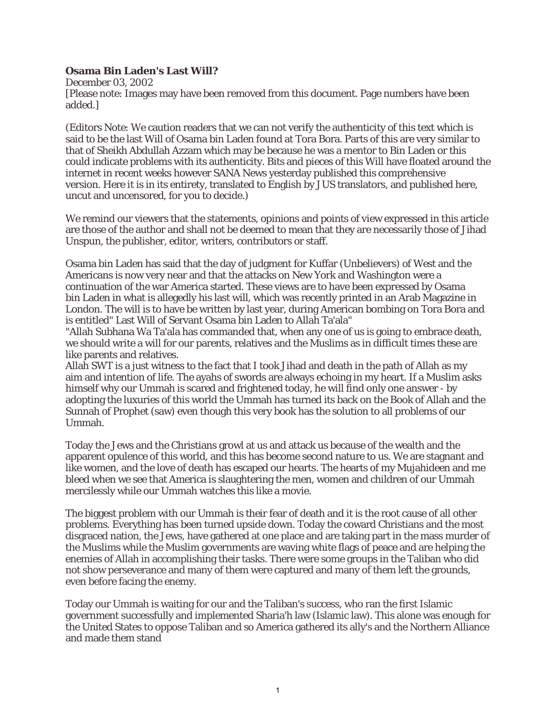## **Osama Bin Laden's Last Will?**

December 03, 2002 [Please note: Images may have been removed from this document. Page numbers have been added.]

(Editors Note: We caution readers that we can not verify the authenticity of this text which is said to be the last Will of Osama bin Laden found at Tora Bora. Parts of this are very similar to that of Sheikh Abdullah Azzam which may be because he was a mentor to Bin Laden or this could indicate problems with its authenticity. Bits and pieces of this Will have floated around the internet in recent weeks however SANA News yesterday published this comprehensive version. Here it is in its entirety, translated to English by JUS translators, and published here, uncut and uncensored, for you to decide.)

We remind our viewers that the statements, opinions and points of view expressed in this article are those of the author and shall not be deemed to mean that they are necessarily those of Jihad Unspun, the publisher, editor, writers, contributors or staff.

Osama bin Laden has said that the day of judgment for Kuffar (Unbelievers) of West and the Americans is now very near and that the attacks on New York and Washington were a continuation of the war America started. These views are to have been expressed by Osama bin Laden in what is allegedly his last will, which was recently printed in an Arab Magazine in London. The will is to have be written by last year, during American bombing on Tora Bora and is entitled" Last Will of Servant Osama bin Laden to Allah Ta'ala"

"Allah Subhana Wa Ta'ala has commanded that, when any one of us is going to embrace death, we should write a will for our parents, relatives and the Muslims as in difficult times these are like parents and relatives.

Allah SWT is a just witness to the fact that I took Jihad and death in the path of Allah as my aim and intention of life. The ayahs of swords are always echoing in my heart. If a Muslim asks himself why our Ummah is scared and frightened today, he will find only one answer - by adopting the luxuries of this world the Ummah has turned its back on the Book of Allah and the Sunnah of Prophet (saw) even though this very book has the solution to all problems of our Ummah.

Today the Jews and the Christians growl at us and attack us because of the wealth and the apparent opulence of this world, and this has become second nature to us. We are stagnant and like women, and the love of death has escaped our hearts. The hearts of my Mujahideen and me bleed when we see that America is slaughtering the men, women and children of our Ummah mercilessly while our Ummah watches this like a movie.

The biggest problem with our Ummah is their fear of death and it is the root cause of all other problems. Everything has been turned upside down. Today the coward Christians and the most disgraced nation, the Jews, have gathered at one place and are taking part in the mass murder of the Muslims while the Muslim governments are waving white flags of peace and are helping the enemies of Allah in accomplishing their tasks. There were some groups in the Taliban who did not show perseverance and many of them were captured and many of them left the grounds, even before facing the enemy.

Today our Ummah is waiting for our and the Taliban's success, who ran the first Islamic government successfully and implemented Sharia'h law (Islamic law). This alone was enough for the United States to oppose Taliban and so America gathered its ally's and the Northern Alliance and made them stand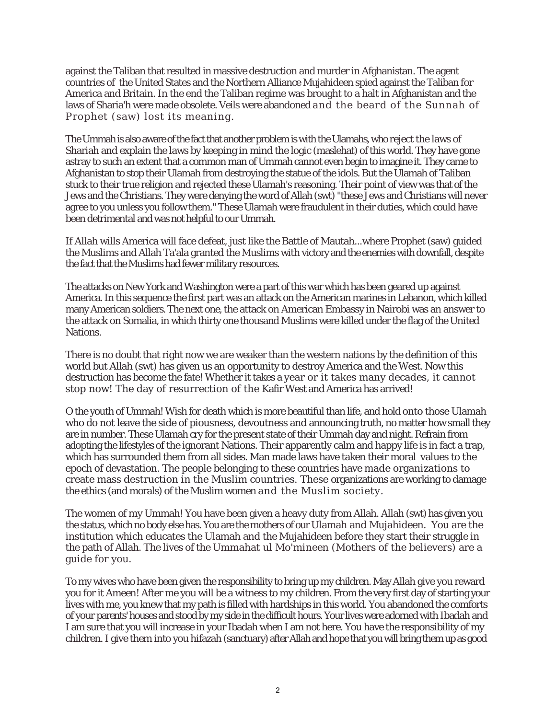against the Taliban that resulted in massive destruction and murder in Afghanistan. The agent countries of the United States and the Northern Alliance Mujahideen spied against the Taliban for America and Britain. In the end the Taliban regime was brought to a halt in Afghanistan and the laws of Sharia'h were made obsolete. Veils were abandoned and the beard of the Sunnah of Prophet (saw) lost its meaning.

The Ummah is also aware of the fact that another problem is with the Ulamahs, who reject the laws of Shariah and explain the laws by keeping in mind the logic (maslehat) of this world. They have gone astray to such an extent that a common man of Ummah cannot even begin to imagine it. They came to Afghanistan to stop their Ulamah from destroying the statue of the idols. But the Ulamah of Taliban stuck to their true religion and rejected these Ulamah's reasoning. Their point of view was that of the Jews and the Christians. They were denying the word of Allah (swt) "these Jews and Christians will never agree to you unless you follow them." These Ulamah were fraudulent in their duties, which could have been detrimental and was not helpful to our Ummah.

If Allah wills America will face defeat, just like the Battle of Mautah...where Prophet (saw) guided the Muslims and Allah Ta'ala granted the Muslims with victory and the enemies with downfall, despite the fact that the Muslims had fewer military resources.

The attacks on New York and Washington were a part of this war which has been geared up against America. In this sequence the first part was an attack on the American marines in Lebanon, which killed many American soldiers. The next one, the attack on American Embassy in Nairobi was an answer to the attack on Somalia, in which thirty one thousand Muslims were killed under the flag of the United Nations.

There is no doubt that right now we are weaker than the western nations by the definition of this world but Allah (swt) has given us an opportunity to destroy America and the West. Now this destruction has become the fate! Whether it takes a year or it takes many decades, it cannot stop now! The day of resurrection of the Kafir West and America has arrived!

O the youth of Ummah! Wish for death which is more beautiful than life, and hold onto those Ulamah who do not leave the side of piousness, devoutness and announcing truth, no matter how small they are in number. These Ulamah cry for the present state of their Ummah day and night. Refrain from adopting the lifestyles of the ignorant Nations. Their apparently calm and happy life is in fact a trap, which has surrounded them from all sides. Man made laws have taken their moral values to the epoch of devastation. The people belonging to these countries have made organizations to create mass destruction in the Muslim countries. These organizations are working to damage the ethics (and morals) of the Muslim women and the Muslim society.

The women of my Ummah! You have been given a heavy duty from Allah. Allah (swt) has given you the status, which no body else has. You are the mothers of our Ulamah and Mujahideen. You are the institution which educates the Ulamah and the Mujahideen before they start their struggle in the path of Allah. The lives of the Ummahat ul Mo'mineen (Mothers of the believers) are a guide for you.

To my wives who have been given the responsibility to bring up my children. May Allah give you reward you for it Ameen! After me you will be a witness to my children. From the very first day of starting your lives with me, you knew that my path is filled with hardships in this world. You abandoned the comforts of your parents' houses and stood by my side in the difficult hours. Your lives were adorned with Ibadah and I am sure that you will increase in your Ibadah when I am not here. You have the responsibility of my children. I give them into you hifazah (sanctuary) after Allah and hope that you will bring them up as good